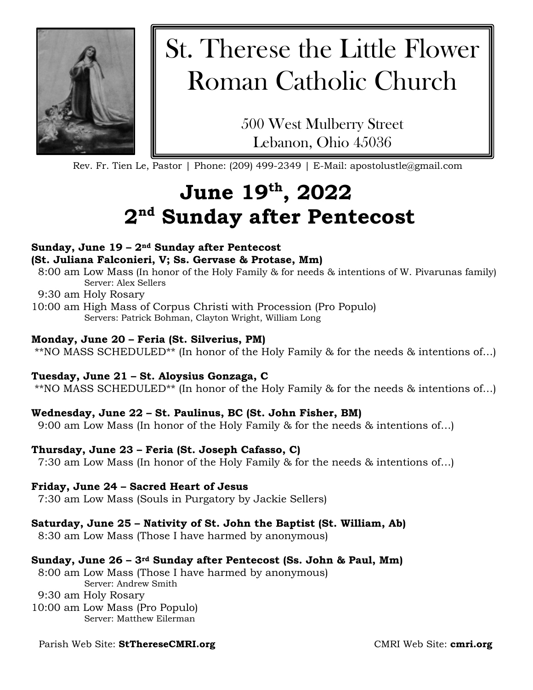

# St. Therese the Little Flower Roman Catholic Church

500 West Mulberry Street Lebanon, Ohio 45036

Rev. Fr. Tien Le, Pastor | Phone: (209) 499-2349 | E-Mail: apostolustle@gmail.com

## **June 19th, 2022 2nd Sunday after Pentecost**

#### **Sunday, June 19 – 2nd Sunday after Pentecost (St. Juliana Falconieri, V; Ss. Gervase & Protase, Mm)**

- 8:00 am Low Mass (In honor of the Holy Family & for needs & intentions of W. Pivarunas family) Server: Alex Sellers
- 9:30 am Holy Rosary
- 10:00 am High Mass of Corpus Christi with Procession (Pro Populo) Servers: Patrick Bohman, Clayton Wright, William Long

#### **Monday, June 20 – Feria (St. Silverius, PM)**

\*\*NO MASS SCHEDULED\*\* (In honor of the Holy Family & for the needs & intentions of…)

#### **Tuesday, June 21 – St. Aloysius Gonzaga, C**

\*\*NO MASS SCHEDULED\*\* (In honor of the Holy Family & for the needs & intentions of…)

#### **Wednesday, June 22 – St. Paulinus, BC (St. John Fisher, BM)**

9:00 am Low Mass (In honor of the Holy Family & for the needs & intentions of…)

#### **Thursday, June 23 – Feria (St. Joseph Cafasso, C)**

7:30 am Low Mass (In honor of the Holy Family & for the needs & intentions of…)

#### **Friday, June 24 – Sacred Heart of Jesus**

7:30 am Low Mass (Souls in Purgatory by Jackie Sellers)

#### **Saturday, June 25 – Nativity of St. John the Baptist (St. William, Ab)**

8:30 am Low Mass (Those I have harmed by anonymous)

#### **Sunday, June 26 – 3rd Sunday after Pentecost (Ss. John & Paul, Mm)**

8:00 am Low Mass (Those I have harmed by anonymous) Server: Andrew Smith

#### 9:30 am Holy Rosary

10:00 am Low Mass (Pro Populo) Server: Matthew Eilerman

#### Parish Web Site: **StThereseCMRI.org**